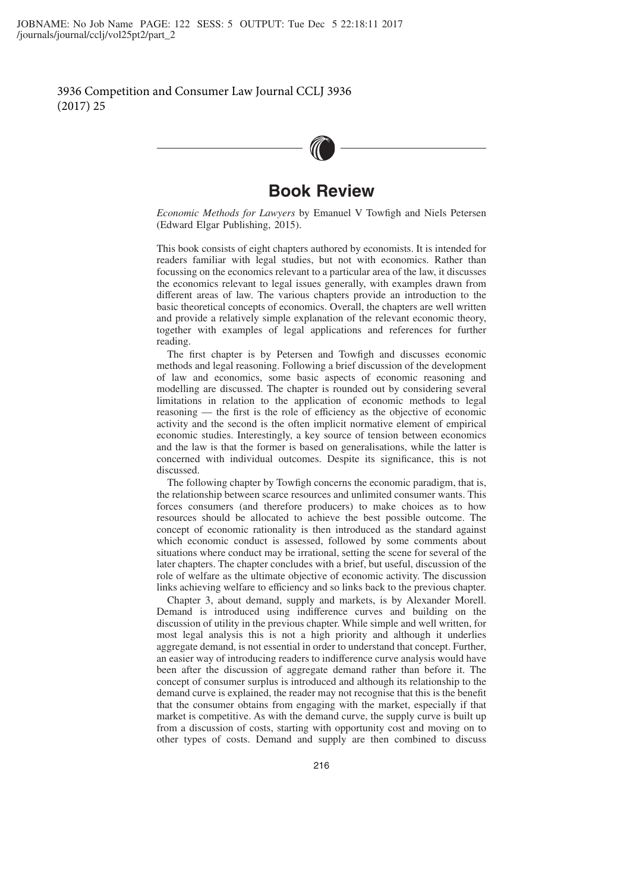

## **Book Review**

*Economic Methods for Lawyers* by Emanuel V Towfigh and Niels Petersen (Edward Elgar Publishing, 2015).

This book consists of eight chapters authored by economists. It is intended for readers familiar with legal studies, but not with economics. Rather than focussing on the economics relevant to a particular area of the law, it discusses the economics relevant to legal issues generally, with examples drawn from different areas of law. The various chapters provide an introduction to the basic theoretical concepts of economics. Overall, the chapters are well written and provide a relatively simple explanation of the relevant economic theory, together with examples of legal applications and references for further reading.

The first chapter is by Petersen and Towfigh and discusses economic methods and legal reasoning. Following a brief discussion of the development of law and economics, some basic aspects of economic reasoning and modelling are discussed. The chapter is rounded out by considering several limitations in relation to the application of economic methods to legal reasoning — the first is the role of efficiency as the objective of economic activity and the second is the often implicit normative element of empirical economic studies. Interestingly, a key source of tension between economics and the law is that the former is based on generalisations, while the latter is concerned with individual outcomes. Despite its significance, this is not discussed.

The following chapter by Towfigh concerns the economic paradigm, that is, the relationship between scarce resources and unlimited consumer wants. This forces consumers (and therefore producers) to make choices as to how resources should be allocated to achieve the best possible outcome. The concept of economic rationality is then introduced as the standard against which economic conduct is assessed, followed by some comments about situations where conduct may be irrational, setting the scene for several of the later chapters. The chapter concludes with a brief, but useful, discussion of the role of welfare as the ultimate objective of economic activity. The discussion links achieving welfare to efficiency and so links back to the previous chapter.

Chapter 3, about demand, supply and markets, is by Alexander Morell. Demand is introduced using indifference curves and building on the discussion of utility in the previous chapter. While simple and well written, for most legal analysis this is not a high priority and although it underlies aggregate demand, is not essential in order to understand that concept. Further, an easier way of introducing readers to indifference curve analysis would have been after the discussion of aggregate demand rather than before it. The concept of consumer surplus is introduced and although its relationship to the demand curve is explained, the reader may not recognise that this is the benefit that the consumer obtains from engaging with the market, especially if that market is competitive. As with the demand curve, the supply curve is built up from a discussion of costs, starting with opportunity cost and moving on to other types of costs. Demand and supply are then combined to discuss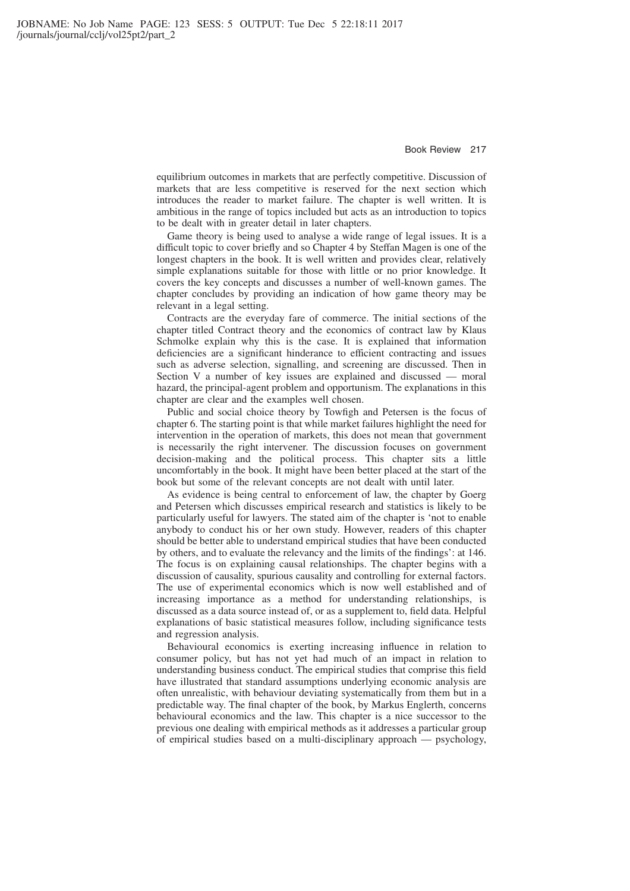equilibrium outcomes in markets that are perfectly competitive. Discussion of markets that are less competitive is reserved for the next section which introduces the reader to market failure. The chapter is well written. It is ambitious in the range of topics included but acts as an introduction to topics to be dealt with in greater detail in later chapters.

Game theory is being used to analyse a wide range of legal issues. It is a difficult topic to cover briefly and so Chapter 4 by Steffan Magen is one of the longest chapters in the book. It is well written and provides clear, relatively simple explanations suitable for those with little or no prior knowledge. It covers the key concepts and discusses a number of well-known games. The chapter concludes by providing an indication of how game theory may be relevant in a legal setting.

Contracts are the everyday fare of commerce. The initial sections of the chapter titled Contract theory and the economics of contract law by Klaus Schmolke explain why this is the case. It is explained that information deficiencies are a significant hinderance to efficient contracting and issues such as adverse selection, signalling, and screening are discussed. Then in Section V a number of key issues are explained and discussed — moral hazard, the principal-agent problem and opportunism. The explanations in this chapter are clear and the examples well chosen.

Public and social choice theory by Towfigh and Petersen is the focus of chapter 6. The starting point is that while market failures highlight the need for intervention in the operation of markets, this does not mean that government is necessarily the right intervener. The discussion focuses on government decision-making and the political process. This chapter sits a little uncomfortably in the book. It might have been better placed at the start of the book but some of the relevant concepts are not dealt with until later.

As evidence is being central to enforcement of law, the chapter by Goerg and Petersen which discusses empirical research and statistics is likely to be particularly useful for lawyers. The stated aim of the chapter is 'not to enable anybody to conduct his or her own study. However, readers of this chapter should be better able to understand empirical studies that have been conducted by others, and to evaluate the relevancy and the limits of the findings': at 146. The focus is on explaining causal relationships. The chapter begins with a discussion of causality, spurious causality and controlling for external factors. The use of experimental economics which is now well established and of increasing importance as a method for understanding relationships, is discussed as a data source instead of, or as a supplement to, field data. Helpful explanations of basic statistical measures follow, including significance tests and regression analysis.

Behavioural economics is exerting increasing influence in relation to consumer policy, but has not yet had much of an impact in relation to understanding business conduct. The empirical studies that comprise this field have illustrated that standard assumptions underlying economic analysis are often unrealistic, with behaviour deviating systematically from them but in a predictable way. The final chapter of the book, by Markus Englerth, concerns behavioural economics and the law. This chapter is a nice successor to the previous one dealing with empirical methods as it addresses a particular group of empirical studies based on a multi-disciplinary approach — psychology,